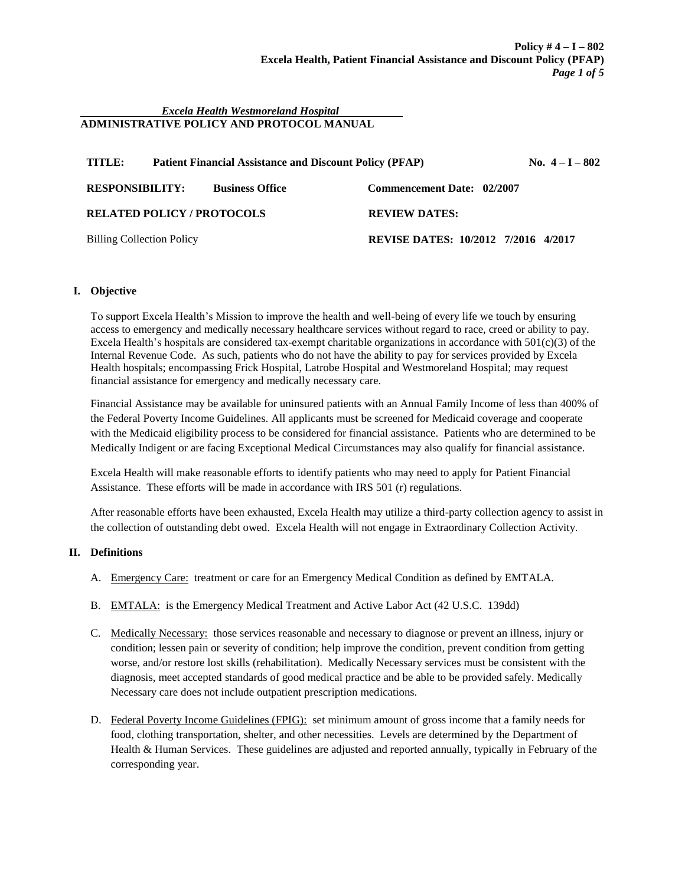#### *Excela Health Westmoreland Hospital*  **ADMINISTRATIVE POLICY AND PROTOCOL MANUAL**

| TITLE:<br><b>Patient Financial Assistance and Discount Policy (PFAP)</b> | No. $4-I - 802$                     |
|--------------------------------------------------------------------------|-------------------------------------|
| <b>RESPONSIBILITY:</b><br><b>Business Office</b>                         | Commencement Date: 02/2007          |
| <b>RELATED POLICY / PROTOCOLS</b>                                        | <b>REVIEW DATES:</b>                |
| <b>Billing Collection Policy</b>                                         | REVISE DATES: 10/2012 7/2016 4/2017 |

# **I. Objective**

To support Excela Health's Mission to improve the health and well-being of every life we touch by ensuring access to emergency and medically necessary healthcare services without regard to race, creed or ability to pay. Excela Health's hospitals are considered tax-exempt charitable organizations in accordance with  $501(c)(3)$  of the Internal Revenue Code. As such, patients who do not have the ability to pay for services provided by Excela Health hospitals; encompassing Frick Hospital, Latrobe Hospital and Westmoreland Hospital; may request financial assistance for emergency and medically necessary care.

Financial Assistance may be available for uninsured patients with an Annual Family Income of less than 400% of the Federal Poverty Income Guidelines. All applicants must be screened for Medicaid coverage and cooperate with the Medicaid eligibility process to be considered for financial assistance. Patients who are determined to be Medically Indigent or are facing Exceptional Medical Circumstances may also qualify for financial assistance.

Excela Health will make reasonable efforts to identify patients who may need to apply for Patient Financial Assistance. These efforts will be made in accordance with IRS 501 (r) regulations.

After reasonable efforts have been exhausted, Excela Health may utilize a third-party collection agency to assist in the collection of outstanding debt owed. Excela Health will not engage in Extraordinary Collection Activity.

## **II. Definitions**

- A. Emergency Care: treatment or care for an Emergency Medical Condition as defined by EMTALA.
- B. EMTALA: is the Emergency Medical Treatment and Active Labor Act (42 U.S.C. 139dd)
- C. Medically Necessary: those services reasonable and necessary to diagnose or prevent an illness, injury or condition; lessen pain or severity of condition; help improve the condition, prevent condition from getting worse, and/or restore lost skills (rehabilitation). Medically Necessary services must be consistent with the diagnosis, meet accepted standards of good medical practice and be able to be provided safely. Medically Necessary care does not include outpatient prescription medications.
- D. Federal Poverty Income Guidelines (FPIG): set minimum amount of gross income that a family needs for food, clothing transportation, shelter, and other necessities. Levels are determined by the Department of Health & Human Services. These guidelines are adjusted and reported annually, typically in February of the corresponding year.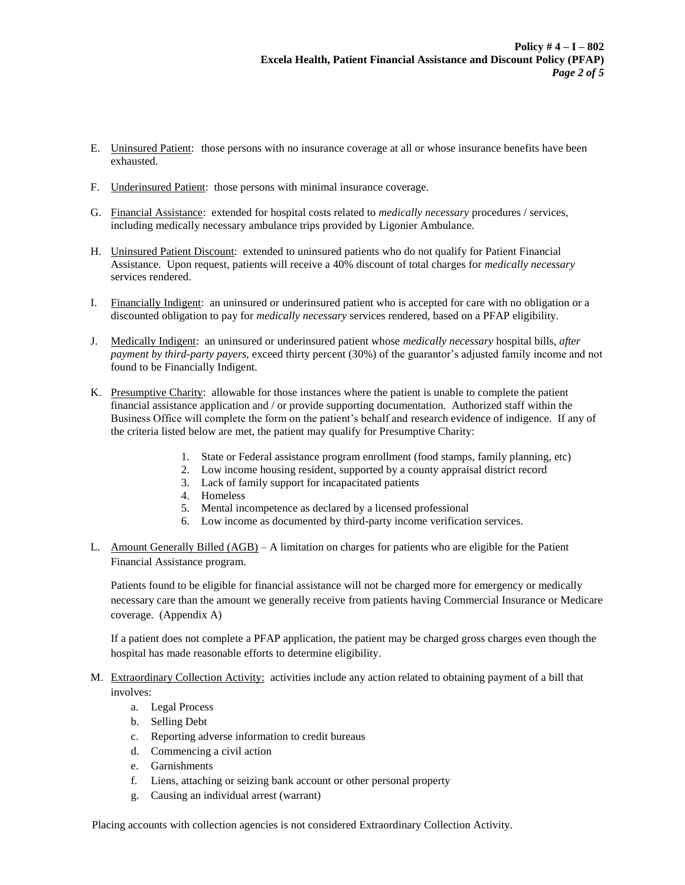- E. Uninsured Patient: those persons with no insurance coverage at all or whose insurance benefits have been exhausted.
- F. Underinsured Patient: those persons with minimal insurance coverage.
- G. Financial Assistance: extended for hospital costs related to *medically necessary* procedures / services, including medically necessary ambulance trips provided by Ligonier Ambulance.
- H. Uninsured Patient Discount: extended to uninsured patients who do not qualify for Patient Financial Assistance. Upon request, patients will receive a 40% discount of total charges for *medically necessary* services rendered.
- I. Financially Indigent: an uninsured or underinsured patient who is accepted for care with no obligation or a discounted obligation to pay for *medically necessary* services rendered, based on a PFAP eligibility.
- J. Medically Indigent: an uninsured or underinsured patient whose *medically necessary* hospital bills, *after payment by third-party payers,* exceed thirty percent (30%) of the guarantor's adjusted family income and not found to be Financially Indigent.
- K. Presumptive Charity: allowable for those instances where the patient is unable to complete the patient financial assistance application and / or provide supporting documentation. Authorized staff within the Business Office will complete the form on the patient's behalf and research evidence of indigence. If any of the criteria listed below are met, the patient may qualify for Presumptive Charity:
	- 1. State or Federal assistance program enrollment (food stamps, family planning, etc)
	- 2. Low income housing resident, supported by a county appraisal district record
	- 3. Lack of family support for incapacitated patients
	- 4. Homeless
	- 5. Mental incompetence as declared by a licensed professional
	- 6. Low income as documented by third-party income verification services.
- L. Amount Generally Billed (AGB) A limitation on charges for patients who are eligible for the Patient Financial Assistance program.

Patients found to be eligible for financial assistance will not be charged more for emergency or medically necessary care than the amount we generally receive from patients having Commercial Insurance or Medicare coverage. (Appendix A)

If a patient does not complete a PFAP application, the patient may be charged gross charges even though the hospital has made reasonable efforts to determine eligibility.

- M. Extraordinary Collection Activity: activities include any action related to obtaining payment of a bill that involves:
	- a. Legal Process
	- b. Selling Debt
	- c. Reporting adverse information to credit bureaus
	- d. Commencing a civil action
	- e. Garnishments
	- f. Liens, attaching or seizing bank account or other personal property
	- g. Causing an individual arrest (warrant)

Placing accounts with collection agencies is not considered Extraordinary Collection Activity.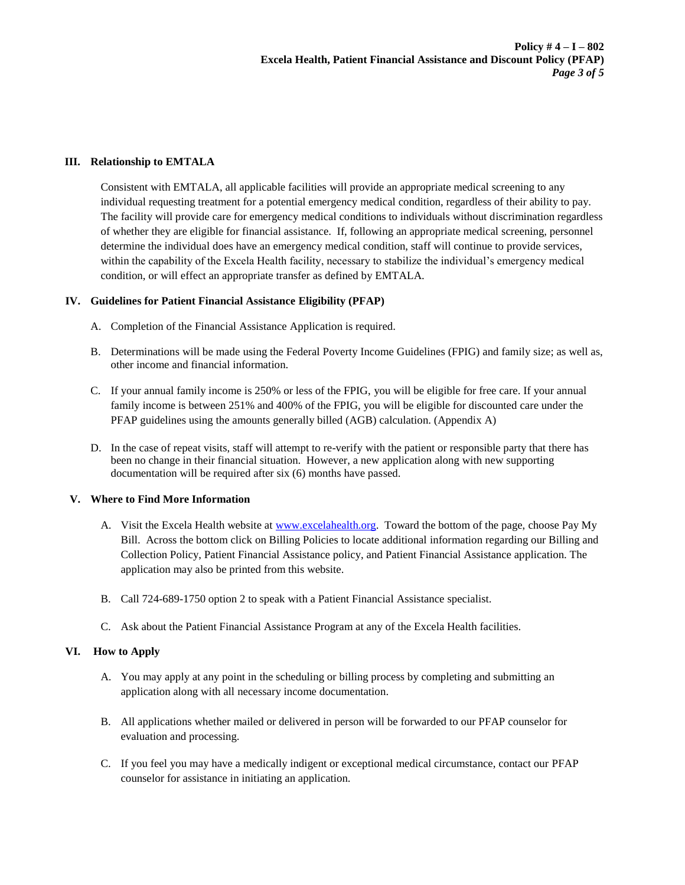#### **III. Relationship to EMTALA**

Consistent with EMTALA, all applicable facilities will provide an appropriate medical screening to any individual requesting treatment for a potential emergency medical condition, regardless of their ability to pay. The facility will provide care for emergency medical conditions to individuals without discrimination regardless of whether they are eligible for financial assistance. If, following an appropriate medical screening, personnel determine the individual does have an emergency medical condition, staff will continue to provide services, within the capability of the Excela Health facility, necessary to stabilize the individual's emergency medical condition, or will effect an appropriate transfer as defined by EMTALA.

## **IV. Guidelines for Patient Financial Assistance Eligibility (PFAP)**

- A. Completion of the Financial Assistance Application is required.
- B. Determinations will be made using the Federal Poverty Income Guidelines (FPIG) and family size; as well as, other income and financial information.
- C. If your annual family income is 250% or less of the FPIG, you will be eligible for free care. If your annual family income is between 251% and 400% of the FPIG, you will be eligible for discounted care under the PFAP guidelines using the amounts generally billed (AGB) calculation. (Appendix A)
- D. In the case of repeat visits, staff will attempt to re-verify with the patient or responsible party that there has been no change in their financial situation. However, a new application along with new supporting documentation will be required after six (6) months have passed.

#### **V. Where to Find More Information**

- A. Visit the Excela Health website at [www.excelahealth.org.](http://www.excelahealth.org/) Toward the bottom of the page, choose Pay My Bill. Across the bottom click on Billing Policies to locate additional information regarding our Billing and Collection Policy, Patient Financial Assistance policy, and Patient Financial Assistance application. The application may also be printed from this website.
- B. Call 724-689-1750 option 2 to speak with a Patient Financial Assistance specialist.
- C. Ask about the Patient Financial Assistance Program at any of the Excela Health facilities.

#### **VI. How to Apply**

- A. You may apply at any point in the scheduling or billing process by completing and submitting an application along with all necessary income documentation.
- B. All applications whether mailed or delivered in person will be forwarded to our PFAP counselor for evaluation and processing.
- C. If you feel you may have a medically indigent or exceptional medical circumstance, contact our PFAP counselor for assistance in initiating an application.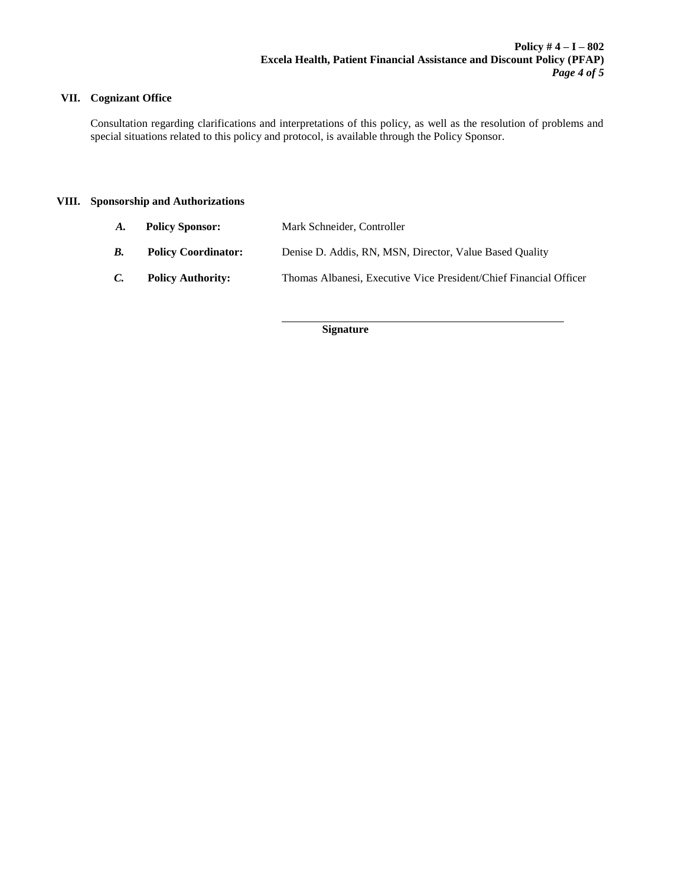# **VII. Cognizant Office**

Consultation regarding clarifications and interpretations of this policy, as well as the resolution of problems and special situations related to this policy and protocol, is available through the Policy Sponsor.

## **VIII. Sponsorship and Authorizations**

*A.* **Policy Sponsor:** Mark Schneider, Controller

l

- *B.* **Policy Coordinator:** Denise D. Addis, RN, MSN, Director, Value Based Quality
- *C.* **Policy Authority:** Thomas Albanesi, Executive Vice President/Chief Financial Officer

**Signature**